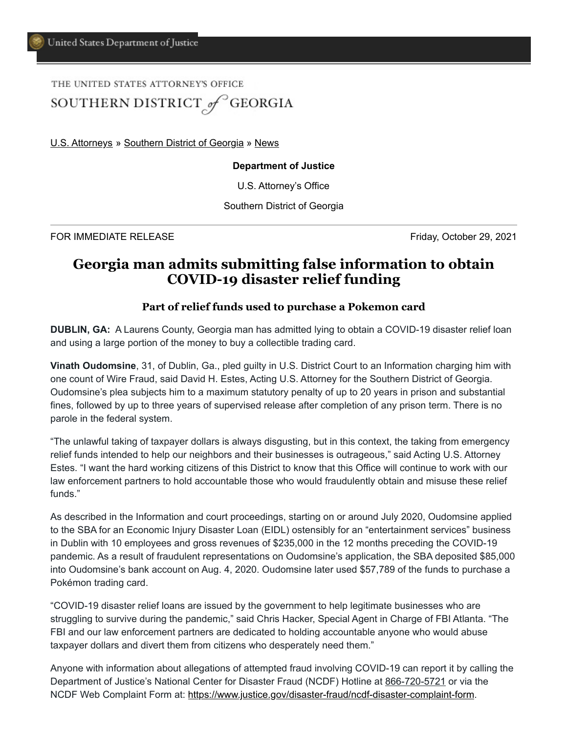## THE UNITED STATES ATTORNEY'S OFFICE SOUTHERN DISTRICT of GEORGIA

[U.S. Attorneys](https://www.justice.gov/usao) » [Southern District of Georgia](https://www.justice.gov/usao-sdga) » [News](https://www.justice.gov/usao-sdga/pr)

## **Department of Justice**

U.S. Attorney's Office

Southern District of Georgia

FOR IMMEDIATE RELEASE Friday, October 29, 2021

## **Georgia man admits submitting false information to obtain COVID-19 disaster relief funding**

## **Part of relief funds used to purchase a Pokemon card**

**DUBLIN, GA:** A Laurens County, Georgia man has admitted lying to obtain a COVID-19 disaster relief loan and using a large portion of the money to buy a collectible trading card.

**Vinath Oudomsine**, 31, of Dublin, Ga., pled guilty in U.S. District Court to an Information charging him with one count of Wire Fraud, said David H. Estes, Acting U.S. Attorney for the Southern District of Georgia. Oudomsine's plea subjects him to a maximum statutory penalty of up to 20 years in prison and substantial fines, followed by up to three years of supervised release after completion of any prison term. There is no parole in the federal system.

"The unlawful taking of taxpayer dollars is always disgusting, but in this context, the taking from emergency relief funds intended to help our neighbors and their businesses is outrageous," said Acting U.S. Attorney Estes. "I want the hard working citizens of this District to know that this Office will continue to work with our law enforcement partners to hold accountable those who would fraudulently obtain and misuse these relief funds."

As described in the Information and court proceedings, starting on or around July 2020, Oudomsine applied to the SBA for an Economic Injury Disaster Loan (EIDL) ostensibly for an "entertainment services" business in Dublin with 10 employees and gross revenues of \$235,000 in the 12 months preceding the COVID-19 pandemic. As a result of fraudulent representations on Oudomsine's application, the SBA deposited \$85,000 into Oudomsine's bank account on Aug. 4, 2020. Oudomsine later used \$57,789 of the funds to purchase a Pokémon trading card.

"COVID-19 disaster relief loans are issued by the government to help legitimate businesses who are struggling to survive during the pandemic," said Chris Hacker, Special Agent in Charge of FBI Atlanta. "The FBI and our law enforcement partners are dedicated to holding accountable anyone who would abuse taxpayer dollars and divert them from citizens who desperately need them."

Anyone with information about allegations of attempted fraud involving COVID-19 can report it by calling the Department of Justice's National Center for Disaster Fraud (NCDF) Hotline at 866-720-5721 or via the NCDF Web Complaint Form at: <https://www.justice.gov/disaster-fraud/ncdf-disaster-complaint-form>.